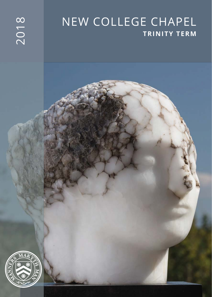# NEW COLLEGE CHAPEL **TRINITY TERM**

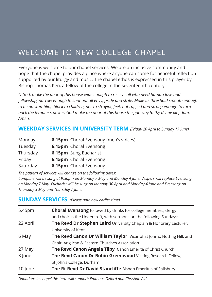# WELCOME TO NEW COLLEGE CHAPEL

Everyone is welcome to our chapel services. We are an inclusive community and hope that the chapel provides a place where anyone can come for peaceful reflection supported by our liturgy and music. The chapel ethos is expressed in this prayer by Bishop Thomas Ken, a fellow of the college in the seventeenth century:

*O God, make the door of this house wide enough to receive all who need human love and fellowship; narrow enough to shut out all envy, pride and strife. Make its threshold smooth enough to be no stumbling block to children, nor to straying feet, but rugged and strong enough to turn back the tempter's power. God make the door of this house the gateway to thy divine kingdom. Amen.*

#### **WEEKDAY SERVICES IN UNIVERSITY TERM** *(Friday 20 April to Sunday 17 June)*

| Monday   | <b>6.15pm</b> Choral Evensong (men's voices) |
|----------|----------------------------------------------|
| Tuesday  | 6.15pm Choral Evensong                       |
| Thursday | <b>6.15pm</b> Sung Eucharist                 |
| Friday   | <b>6.15pm</b> Choral Evensong                |
| Saturday | 6.15pm Choral Evensong                       |

*The pattern of services will change on the following dates:*

*Compline will be sung at 9.30pm on Monday 7 May and Monday 4 June. Vespers will replace Evensong on Monday 7 May. Eucharist will be sung on Monday 30 April and Monday 4 June and Evensong on Thursday 3 May and Thursday 7 June.* 

#### **SUNDAY SERVICES** *(Please note new earlier time)*

| 5.45pm   | <b>Choral Evensong</b> followed by drinks for college members, clergy  |
|----------|------------------------------------------------------------------------|
|          | and choir in the Undercroft, with sermons on the following Sundays:    |
| 22 April | The Revd Dr Stephen Laird University Chaplain & Honorary Lecturer,     |
|          | University of Kent                                                     |
| 6 May    | The Revd Canon Dr William Taylor Vicar of St John's, Notting Hill, and |
|          | Chair, Anglican & Eastern Churches Association                         |
| 27 May   | <b>The Revd Canon Angela Tilby</b> Canon Emerita of Christ Church      |
| 3 lune   | The Revd Canon Dr Robin Greenwood Visiting Research Fellow,            |
|          | St John's College, Durham                                              |
| 10 June  | The Rt Revd Dr David Stancliffe Bishop Emeritus of Salisbury           |

*Donations in chapel this term will support: Emmaus Oxford and Christian Aid*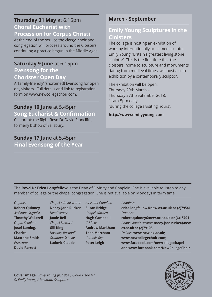#### **Thursday 31 May** at 6.15pm **Choral Eucharist with Procession for Corpus Christi**

At the end of the service the clergy, choir and congregation will process around the Cloisters continuing a practice begun in the Middle Ages.

#### **Saturday 9 June** at 6.15pm

**Evensong for the Chorister Open Day**

A 'family-friendly' (shortened) Evensong for open day visitors. Full details and link to registration form on www.newcollegechoir.com.

### **Sunday 10 June** at 5.45pm

**Sung Eucharist & Confirmation** Celebrant: the Right Revd Dr David Stancliffe, formerly bishop of Salisbury.

#### **Sunday 17 June** at 5.45pm **Final Evensong of the Year**

# **March - September**

## **Emily Young Sculptures in the Cloisters**

The college is hosting an exhibition of work by internationally acclaimed sculptor Emily Young, 'Britain's greatest living stone sculptor'. This is the first time that the cloisters, home to sculpture and monuments dating from medieval times, will host a solo exhibition by a contemporary sculptor.

The exhibition will be open: Thursday 29th March – Thursday 27th September 2018, 11am-5pm daily (during the college's visiting hours).

**http://www.emilyyoung.com**

The **Revd Dr Erica Longfellow** is the Dean of Divinity and Chaplain. She is available to listen to any member of college or the chapel congregation. She is not available on Mondays in term time.

| <b>Organist</b>           |
|---------------------------|
| <b>Robert Quinney</b>     |
| <b>Assistant Organist</b> |
| <b>Timothy Wakerell</b>   |
| <b>Organ Scholars</b>     |
| <b>Josef Laming,</b>      |
| <b>Charles</b>            |
| <b>Maxtone-Smith</b>      |
| Precentor                 |
| <b>David Parrott</b>      |
|                           |

*Chapel Administrator*  **Nancy-Jane Rucker** *Head Verger* **Jamie Bell** *Chapel Steward* **Gill King** *Hastings Rashdall Graduate Scholar* **Ludovic Claude**

*Assistant Chaplain* **Susan Bridge** *Chapel Warden* **Hugh Campbell** *CU Reps* **Andrew Markham Theo Merchant** *Catholic Rep* **Peter Leigh**

#### *Chaplain:*

**erica.longfellow@new.ox.ac.uk or (2)79541** *Organist:*  **robert.quinney@new.ox.ac.uk or (6)18701** *Chapel Administrator:* **nancy-jane.rucker@new. ox.ac.uk or (2)79108** *Online:* **www.new.ox.ac.uk; www.newcollegechoir.com; www.facebook.com/newcollegechapel and www.facebook.com/NewCollegeChoir**